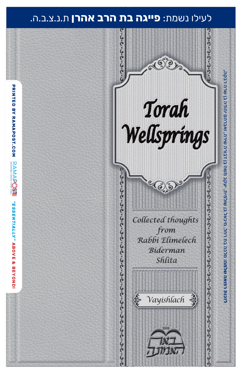### לעילו נשמת: **פייגה בת הרב אהרן** ת.נ.צ.ב.ה.

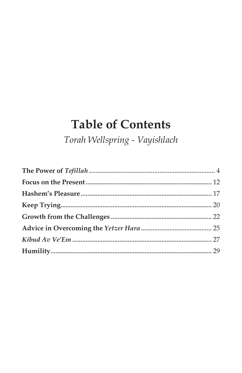# **Table of Contents**

Torah Wellspring - Vayishlach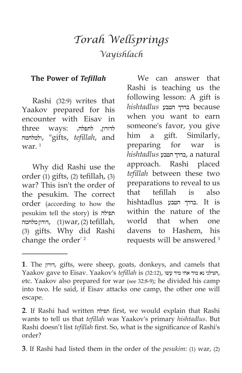## *Torah Wellsprings Vayishlach*

#### **The Power of** *Tefillah*

Rashi (32:9) writes that Yaakov prepared for his encounter with Eisav in לדורון, לתפלה, :three ways ולמלחמה," gifts, *tefillah*, and war. $1$ 

Why did Rashi use the order (1) gifts, (2) tefillah, (3) war? This isn't the order of the pesukim. The correct order (according to how the pesukim tell the story) is תפילה דורון מלחמה,  $(1)$ war,  $(2)$  tefillah, (3) gifts. Why did Rashi change the order<sup>2</sup>

We can answer that Rashi is teaching us the following lesson: A gift is because בדרך הטבע *hishtadlus* when you want to earn someone's favor, you give him a gift. Similarly, preparing for war is *hishtadlus* הטבע בדרך, a natural approach. Rashi placed *tefillah* between these two preparations to reveal to us that tefillah is also hishtadlus הטבע בדרך. It is within the nature of the world that when one davens to Hashem, his requests will be answered.3

**3**. If Rashi had listed them in the order of the *pesukim*: (1) war, (2)

**<sup>1</sup>**. The דורון, gifts, were sheep, goats, donkeys, and camels that Yaakov gave to Eisav. Yaakov's *tefillah* is (32:12), עשו מיד אחי מיד נא הצילני, etc. Yaakov also prepared for war (see 32:8-9); he divided his camp into two. He said, if Eisav attacks one camp, the other one will escape.

**<sup>2</sup>**. If Rashi had written תפילה first, we would explain that Rashi wants to tell us that *tefillah* was Yaakov's primary *hishtadlus*. But Rashi doesn't list *tefillah* first. So, what is the significance of Rashi's order?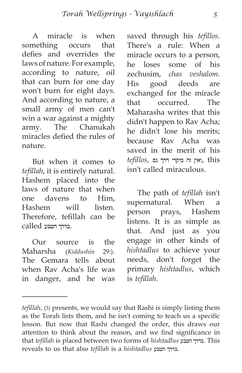A miracle is when something occurs that defies and overrides the laws of nature. For example, according to nature, oil that can burn for one day won't burn for eight days. And according to nature, a small army of men can't win a war against a mighty army. The Chanukah miracles defied the rules of nature.

But when it comes to *tefillah*, it is entirely natural. Hashem placed into the laws of nature that when one davens to Him, Hashem will listen. Therefore, tefillah can be .בדרך הטבע called

Our source is the Maharsha (*Kiddushin* 29:). The Gemara tells about when Rav Acha's life was in danger, and he was saved through his *tefillos*. There's a rule: When a miracle occurs to a person, he loses some of his zechusim, *chas veshalom*. His good deeds are exchanged for the miracle that occurred. The Maharasha writes that this didn't happen to Rav Acha; he didn't lose his merits; because Rav Acha was saved in the merit of his this ,ואין זה מיקרי דרך נס ,*tefillos* isn't called miraculous.

The path of *tefillah* isn't supernatural. When a person prays, Hashem listens. It is as simple as that. And just as you engage in other kinds of *hishtadlus* to achieve your needs, don't forget the primary *hishtadlus*, which is *tefillah*.

*tefillah*, (3) presents, we would say that Rashi is simply listing them as the Torah lists them, and he isn't coming to teach us a specific lesson. But now that Rashi changed the order, this draws our attention to think about the reason, and we find significance in that *tefillah* is placed between two forms of *hishtadlus* הטבע בדרך. This reveals to us that also *tefillah* is a *hishtadlus* הטבע בדרך.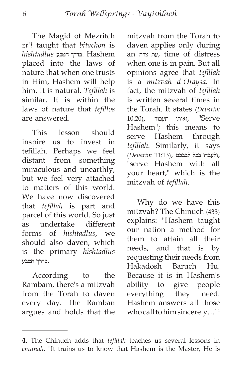The Magid of Mezritch *zt'l* taught that *bitachon* is Hashem .בדרך הטבע *hishtadlus* placed into the laws of nature that when one trusts in Him, Hashem will help him. It is natural. *Tefillah* is similar. It is within the laws of nature that *tefillos* are answered.

This lesson should inspire us to invest in tefillah. Perhaps we feel distant from something miraculous and unearthly, but we feel very attached to matters of this world. We have now discovered that *tefillah* is part and parcel of this world. So just as undertake different forms of *hishtadlus*, we should also daven, which is the primary *hishtadlus* .בדרך הטבע

According to the Rambam, there's a mitzvah from the Torah to daven every day. The Ramban argues and holds that the mitzvah from the Torah to daven applies only during an צרה עת, time of distress when one is in pain. But all opinions agree that *tefillah* is a *mitzvah d'Oraysa*. In fact, the mitzvah of *tefillah* is written several times in the Torah. It states (*Devarim*  $10:20$ ואותו תעבוד, "Serve Hashem"; this means to serve Hashem through *tefillah*. Similarly, it says ,ולעבדו בכל לבבכם ,(11:13 *Devarim*( "serve Hashem with all your heart," which is the mitzvah of *tefillah*.

Why do we have this mitzvah? The Chinuch (433) explains: "Hashem taught our nation a method for them to attain all their needs, and that is by requesting their needs from Hakadosh Baruch Hu. Because it is in Hashem's ability to give people everything they need. Hashem answers all those who call to him sincerely...<sup>4</sup>

**<sup>4</sup>**. The Chinuch adds that *tefillah* teaches us several lessons in *emunah*. "It trains us to know that Hashem is the Master, He is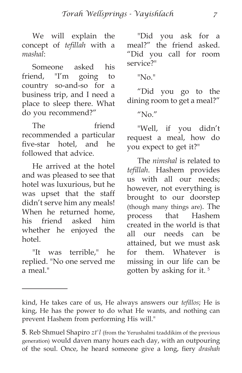We will explain the concept of *tefillah* with a *mashal*:

Someone asked his friend, "I'm going to country so-and-so for a business trip, and I need a place to sleep there. What do you recommend?"

The friend recommended a particular five-star hotel, and he followed that advice.

He arrived at the hotel and was pleased to see that hotel was luxurious, but he was upset that the staff didn't serve him any meals! When he returned home, his friend asked him whether he enjoyed the hotel.

"It was terrible," he replied. "No one served me a meal."

"Did you ask for a meal?" the friend asked. "Did you call for room service?"

"No."

"Did you go to the dining room to get a meal?"

 $^{\prime\prime}$ No. $^{\prime\prime}$ 

"Well, if you didn't request a meal, how do you expect to get it?"

The *nimshal* is related to *tefillah*. Hashem provides us with all our needs; however, not everything is brought to our doorstep (though many things are). The process that Hashem created in the world is that all our needs can be attained, but we must ask for them. Whatever is missing in our life can be gotten by asking for it.<sup>5</sup>

kind, He takes care of us, He always answers our *tefillos*; He is king, He has the power to do what He wants, and nothing can prevent Hashem from performing His will."

**<sup>5</sup>**. Reb Shmuel Shapiro *zt'l* (from the Yerushalmi tzaddikim of the previous generation) would daven many hours each day, with an outpouring of the soul. Once, he heard someone give a long, fiery *drashah*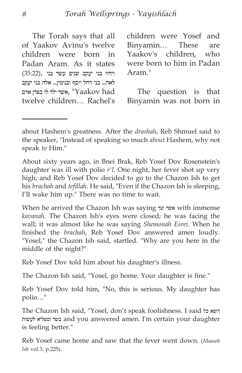The Torah says that all of Yaakov Avinu's twelve children were born in Padan Aram. As it states ויהיו בני יעקב שנים עשר בני ,(35:22) לאה... בני רחל יוסף ובנימין... אלה בני יעקב אשר ילד לו בפדן ארם, "Yaakov had twelve children… Rachel's children were Yosef and Binyamin… These are Yaakov's children, who were born to him in Padan Aram."

The question is that Binyamin was not born in

About sixty years ago, in Bnei Brak, Reb Yosef Dov Rosenstein's daughter was ill with polio *r'l*. One night, her fever shot up very high, and Reb Yosef Dov decided to go to the Chazon Ish to get his *brachah* and *tefillah*. He said, "Even if the Chazon Ish is sleeping, I'll wake him up." There was no time to wait.

When he arrived the Chazon Ish was saying יצר אשר with immense *kavanah*. The Chazon Ish's eyes were closed; he was facing the wall; it was almost like he was saying *Shemonah Esrei*. When he finished the *brachah*, Reb Yosef Dov answered amen loudly. "Yosel," the Chazon Ish said, startled. "Why are you here in the middle of the night?"

Reb Yosef Dov told him about his daughter's illness.

The Chazon Ish said, "Yosel, go home. Your daughter is fine."

Reb Yosef Dov told him, "No, this is serious. My daughter has polio…"

The Chazon Ish said, "Yosel, don't speak foolishness. I said כל רופא לעשות ומפליא בשר and you answered amen. I'm certain your daughter is feeling better."

Reb Yosef came home and saw that the fever went down. (*Maaseh Ish* vol.3, p.225).

about Hashem's greatness. After the *drashah*, Reb Shmuel said to the speaker, "Instead of speaking so much *about* Hashem, why not speak *to* Him."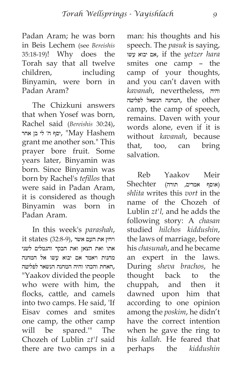Padan Aram; he was born in Beis Lechem (see *Bereishis* 35:18-19)! Why does the Torah say that all twelve children, including Binyamin, were born in Padan Aram?

The Chizkuni answers that when Yosef was born, Rachel said (*Bereishis* 30:24), יסף ה׳ לי בן אחר, "May Hashem grant me another son." This prayer bore fruit. Some years later, Binyamin was born. Since Binyamin was born by Rachel's *tefillos* that were said in Padan Aram, it is considered as though Binyamin was born in Padan Aram.

In this week's *parashah*,  $it$  states (32:8-9), ויחץ את העם אשר אתו ואת הצאן ואת הבקר והגמלים לשני מחנות ויאמר אם יבוא עשו אל המחנה ,האחת והכהו והיה המחנה הנשאר לפליטה "Yaakov divided the people who were with him, the flocks, cattle, and camels into two camps. He said, 'If Eisav comes and smites one camp, the other camp will be spared.'" The Chozeh of Lublin *zt'l* said there are two camps in a man: his thoughts and his speech. The *pasuk* is saying, עשו יבוא אם, if the *yetzer hara* smites one camp – the camp of your thoughts, and you can't daven with *kavanah*, nevertheless, והיה other the ,המחנה הנשאל לפליטה camp, the camp of speech, remains. Daven with your words alone, even if it is without *kavanah*, because that, too, can bring salvation.

Reb Yaakov Meir (אוסף אמרים, תורה) Shechter *shlita* writes this *vort* in the name of the Chozeh of Lublin *zt'l,* and he adds the following story: A *chasan* studied *hilchos kiddushin*, the laws of marriage, before his *chasunah*, and he became an expert in the laws. During *sheva brachos*, he thought back to the chuppah, and then it dawned upon him that according to one opinion among the *poskim*, he didn't have the correct intention when he gave the ring to his *kallah*. He feared that perhaps the *kiddushin*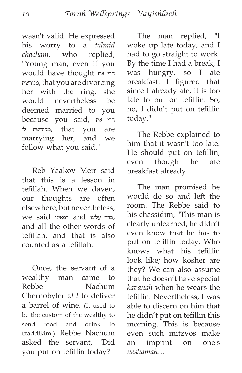wasn't valid. He expressed his worry to a *talmid chacham*, who replied, "Young man, even if you would have thought את הרי מגורשת, that you are divorcing her with the ring, she would nevertheless be deemed married to you because you said, את הרי לי מקודשת, that you are marrying her, and we follow what you said."

Reb Yaakov Meir said that this is a lesson in tefillah. When we daven, our thoughts are often elsewhere, but nevertheless, ,ברך עלינו and רפאינו said we and all the other words of tefillah, and that is also counted as a tefillah.

Once, the servant of a wealthy man came to Rebbe Nachum Chernobyler *zt'l* to deliver a barrel of wine. (It used to be the custom of the wealthy to send food and drink to tzaddikim.) Rebbe Nachum asked the servant, "Did you put on tefillin today?"

The man replied, "I woke up late today, and I had to go straight to work. By the time I had a break, I was hungry, so I ate breakfast. I figured that since I already ate, it is too late to put on tefillin. So, no, I didn't put on tefillin today."

The Rebbe explained to him that it wasn't too late. He should put on tefillin, even though he ate breakfast already.

The man promised he would do so and left the room. The Rebbe said to his chassidim, "This man is clearly unlearned; he didn't even know that he has to put on tefillin today. Who knows what his tefillin look like; how kosher are they? We can also assume that he doesn't have special *kavanah* when he wears the tefillin. Nevertheless, I was able to discern on him that he didn't put on tefillin this morning. This is because even such mitzvos make an imprint on one's *neshamah*…"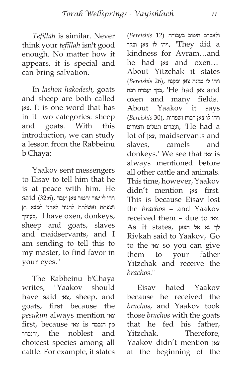*Tefillah* is similar. Never think your *tefillah* isn't good enough. No matter how it appears, it is special and can bring salvation.

In *lashon hakodesh*, goats and sheep are both called צאן. It is one word that has in it two categories: sheep and goats. With this introduction, we can study a lesson from the Rabbeinu b'Chaya:

Yaakov sent messengers to Eisav to tell him that he is at peace with him. He ויהי לי שור וחמור צאן ועבד ,(32:6) said ושפחה ואשלחה להגיד לאדני למצא חן בעיניך," I have oxen, donkeys, sheep and goats, slaves and maidservants, and I am sending to tell this to my master, to find favor in your eyes."

The Rabbeinu b'Chaya writes, "Yaakov should have said צאן, sheep, and goats, first because the *pesukim* always mention צאן מין הנכבד is צאן because ,first והנבחר, the noblest and choicest species among all cattle. For example, it states  ולאברם היטיב בעבורה (12 *Bereishis*( ויהי לו צאן ובקר, 'They did a kindness for Avram…and he had צאן and oxen…' About Yitzchak it states ויהי לו מקנה צאן ומקנה ,(26 *Bereishis*( and צאן had He ',בקר ועבדה רבה oxen and many fields.' About Yaakov it says ויהי לו צאן רבות ושפחות ,(30 *Bereishis*( a had He ',ועבדים וגמלים וחמורים lot of צאן, maidservants and slaves, camels and donkeys.' We see that צאן is always mentioned before all other cattle and animals. This time, however, Yaakov didn't mention צאן first. This is because Eisav lost the *brachos* – and Yaakov received them – due to צאן.  $As$  it states, לך נא אל הצאן Rivkah said to Yaakov, 'Go to the צאן so you can give them to your father Yitzchak and receive the *brachos*."

Eisav hated Yaakov because he received the *brachos*, and Yaakov took those *brachos* with the goats that he fed his father, Yitzchak. Therefore, Yaakov didn't mention צאן at the beginning of the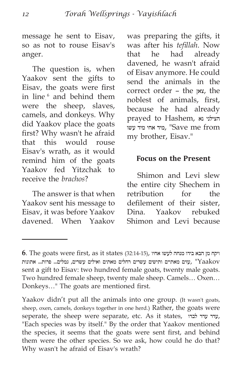message he sent to Eisav, so as not to rouse Eisav's anger.

The question is, when Yaakov sent the gifts to Eisav, the goats were first in line,6 and behind them were the sheep, slaves, camels, and donkeys. Why did Yaakov place the goats first? Why wasn't he afraid that this would rouse Eisav's wrath, as it would remind him of the goats Yaakov fed Yitzchak to receive the *brachos*?

The answer is that when Yaakov sent his message to Eisav, it was before Yaakov davened. When Yaakov was preparing the gifts, it was after his *tefillah*. Now that he had already davened, he wasn't afraid of Eisav anymore. He could send the animals in the correct order – the צאן, the noblest of animals, first, because he had already prayed to Hashem, נא הצילני from me Save ",מיד אחי מיד עשו my brother, Eisav."

#### **Focus on the Present**

Shimon and Levi slew the entire city Shechem in retribution for the defilement of their sister, Dina. Yaakov rebuked Shimon and Levi because

ויקח מן הבא בידו מנחה לעשו אחיו ,(32:14-15) states it as ,first were goats The **6**. עזים מאתיים ותישים עשרים רחלים מאתים ואילים עשרים, גמלים... פרות... אתונות, עשרים, גמלים... sent a gift to Eisav: two hundred female goats, twenty male goats. Two hundred female sheep, twenty male sheep. Camels… Oxen… Donkeys…" The goats are mentioned first.

Yaakov didn't put all the animals into one group. (It wasn't goats, sheep, oxen, camels, donkeys together in one herd.) Rather, the goats were seperate, the sheep were separate, etc. As it states, לבדו עדר עדר, "Each species was by itself." By the order that Yaakov mentioned the species, it seems that the goats were sent first, and behind them were the other species. So we ask, how could he do that? Why wasn't he afraid of Eisav's wrath?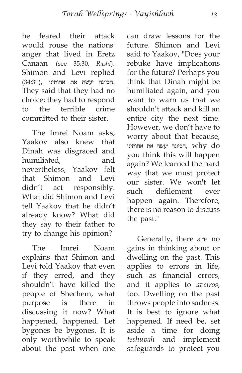he feared their attack would rouse the nations' anger that lived in Eretz Canaan (see 35:30, *Rashi*). Shimon and Levi replied .הכזונה יעשה את אחותינו ,(34:31) They said that they had no choice; they had to respond to the terrible crime committed to their sister.

The Imrei Noam asks, Yaakov also knew that Dinah was disgraced and humiliated, and nevertheless, Yaakov felt that Shimon and Levi didn't act responsibly. What did Shimon and Levi tell Yaakov that he didn't already know? What did they say to their father to try to change his opinion?

The Imrei Noam explains that Shimon and Levi told Yaakov that even if they erred, and they shouldn't have killed the people of Shechem, what purpose is there in discussing it now? What happened, happened. Let bygones be bygones. It is only worthwhile to speak about the past when one can draw lessons for the future. Shimon and Levi said to Yaakov, "Does your rebuke have implications for the future? Perhaps you think that Dinah might be humiliated again, and you want to warn us that we shouldn't attack and kill an entire city the next time. However, we don't have to worry about that because, הכזונה יעשה את אחותינו, why do you think this will happen again? We learned the hard way that we must protect our sister. We won't let such defilement ever happen again. Therefore, there is no reason to discuss the past."

Generally, there are no gains in thinking about or dwelling on the past. This applies to errors in life, such as financial errors, and it applies to *aveiros*, too. Dwelling on the past throws people into sadness. It is best to ignore what happened. If need be, set aside a time for doing *teshuvah* and implement safeguards to protect you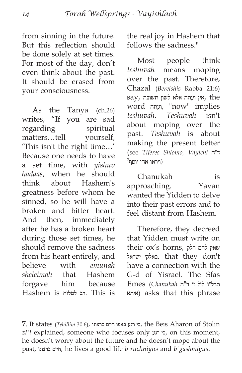from sinning in the future. But this reflection should be done solely at set times. For most of the day, don't even think about the past. It should be erased from your consciousness.

As the Tanya (ch.26) writes, "If you are sad regarding spiritual matters…tell yourself, 'This isn't the right time…' Because one needs to have a set time, with *yishuv hadaas*, when he should think about Hashem's greatness before whom he sinned, so he will have a broken and bitter heart. And then, immediately after he has a broken heart during those set times, he should remove the sadness from his heart entirely, and believe with *emunah sheleimah* that Hashem forgave him because Hashem is לסלוח רב. This is the real joy in Hashem that follows the sadness."

Most people think *teshuvah* means moping over the past. Therefore, Chazal (*Bereishis* Rabba 21:6) say, אין ועתה אלא לשון תשובה, the word ועתה," now" implies *teshuvah*. *Teshuvah* isn't about moping over the past. *Teshuvah* is about making the present better (see *Tiferes Shlomo, Vayichi* ד״ה  $^{7}$ ויראו אחי יוסף)

Chanukah is approaching. Yavan wanted the Yidden to delve into their past errors and to feel distant from Hashem.

Therefore, they decreed that Yidden must write on their ox's horns, חלק להם שאין ישראל באלקי, that they don't have a connection with the G-d of Yisrael. The Sfas תרל״ו ליל ז׳ ד"ה *Chanukah* (Emes איתא (asks that this phrase

**<sup>7</sup>**. It states (*Tehillim* 30:6), ברצונו חיים באפו רגע כי, the Beis Aharon of Stolin *zt'l* explained, someone who focuses only רגע כי, on this moment, he doesn't worry about the future and he doesn't mope about the past, ברצונו חיים, he lives a good life *b'ruchniyus* and *b'gashmiyus*.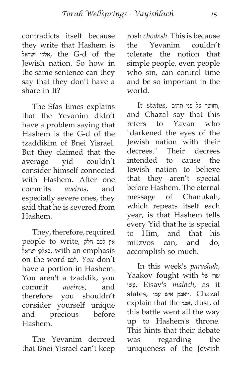contradicts itself because they write that Hashem is ישראל אלקי, the G-d of the Jewish nation. So how in the same sentence can they say that they don't have a share in It?

The Sfas Emes explains that the Yevanim didn't have a problem saying that Hashem is the G-d of the tzaddikim of Bnei Yisrael. But they claimed that the average yid couldn't consider himself connected with Hashem. After one commits *aveiros*, and especially severe ones, they said that he is severed from Hashem.

They, therefore, required אין לכם חלק ,people to write ישראל באלקי, with an emphasis on the word לכם. *You* don't have a portion in Hashem. You aren't a tzaddik, you commit *aveiros*, and therefore you shouldn't consider yourself unique and precious before Hashem.

The Yevanim decreed that Bnei Yisrael can't keep rosh *chodesh*. This is because the Yevanim couldn't tolerate the notion that simple people, even people who sin, can control time and be so important in the world.

It states, וחושך על פני תהום and Chazal say that this refers to Yavan who "darkened the eyes of the Jewish nation with their decrees." Their decrees intended to cause the Jewish nation to believe that they aren't special before Hashem. The eternal message of Chanukah, which repeats itself each year, is that Hashem tells every Yid that he is special to Him, and that his mitzvos can, and do, accomplish so much.

In this week's *parashah*, Yaakov fought with של שרו עשו, Eisav's *malach*, as it Chazal .ויאבק איש עמו ,states explain that the אבק, dust, of this battle went all the way up to Hashem's throne. This hints that their debate was regarding the uniqueness of the Jewish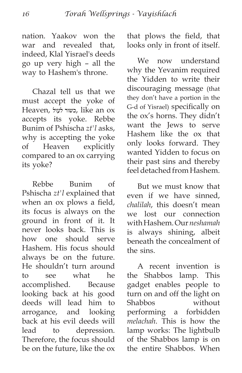nation. Yaakov won the war and revealed that, indeed, Klal Yisrael's deeds go up very high – all the way to Hashem's throne.

Chazal tell us that we must accept the yoke of Heaven, לעול כשור, like an ox accepts its yoke. Rebbe Bunim of Pshischa *zt'l* asks, why is accepting the yoke of Heaven explicitly compared to an ox carrying its yoke?

Rebbe Bunim of Pshischa *zt'l* explained that when an ox plows a field, its focus is always on the ground in front of it. It never looks back. This is how one should serve Hashem. His focus should always be on the future. He shouldn't turn around to see what he accomplished. Because looking back at his good deeds will lead him to arrogance, and looking back at his evil deeds will lead to depression. Therefore, the focus should be on the future, like the ox that plows the field, that looks only in front of itself.

We now understand why the Yevanim required the Yidden to write their discouraging message (that they don't have a portion in the G-d of Yisrael) specifically on the ox's horns. They didn't want the Jews to serve Hashem like the ox that only looks forward. They wanted Yidden to focus on their past sins and thereby feel detached from Hashem.

But we must know that even if we have sinned, *chalilah*, this doesn't mean we lost our connection with Hashem. Our *neshamah* is always shining, albeit beneath the concealment of the sins.

A recent invention is the Shabbos lamp. This gadget enables people to turn on and off the light on Shabbos without performing a forbidden *melachah*. This is how the lamp works: The lightbulb of the Shabbos lamp is on the entire Shabbos. When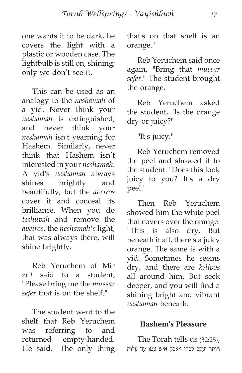one wants it to be dark, he covers the light with a plastic or wooden case. The lightbulb is still on, shining; only we don't see it.

This can be used as an analogy to the *neshamah* of a yid. Never think your *neshamah* is extinguished, and never think your *neshamah* isn't yearning for Hashem. Similarly, never think that Hashem isn't interested in your *neshamah*. A yid's *neshamah* always shines brightly and beautifully, but the *aveiros* cover it and conceal its brilliance. When you do *teshuvah* and remove the *aveiros*, the *neshamah's* light, that was always there, will shine brightly.

Reb Yeruchem of Mir *zt'l* said to a student, "Please bring me the *mussar sefer* that is on the shelf."

The student went to the shelf that Reb Yeruchem was referring to and returned empty-handed. He said, "The only thing that's on that shelf is an orange."

Reb Yeruchem said once again, "Bring that *mussar sefer*." The student brought the orange.

Reb Yeruchem asked the student, "Is the orange dry or juicy?"

"It's juicy."

Reb Yeruchem removed the peel and showed it to the student. "Does this look juicy to you? It's a dry peel."

Then Reb Yeruchem showed him the white peel that covers over the orange. "This is also dry. But beneath it all, there's a juicy orange. The same is with a yid. Sometimes he seems dry, and there are *kelipos* all around him. But seek deeper, and you will find a shining bright and vibrant *neshamah* beneath.

#### **Hashem's Pleasure**

The Torah tells us (32:25), ויותר יעקב לבדו ויאבק איש עמו עד עלות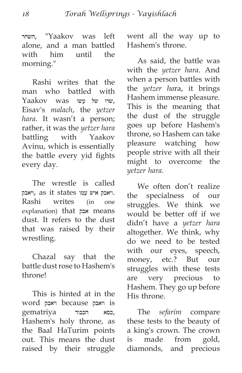השחר," Yaakov was left alone, and a man battled with him until the morning."

Rashi writes that the man who battled with Yaakov was שרו של ששו . Eisav's *malach*, the *yetzer hara*. It wasn't a person; rather, it was the *yetzer hara* battling with Yaakov Avinu, which is essentially the battle every yid fights every day.

The wrestle is called .ויאבק איש עמו states it as ,ויאבק Rashi writes (in one explanation) that אבק means dust. It refers to the dust that was raised by their wrestling.

Chazal say that the battle dust rose to Hashem's throne!

This is hinted at in the word ויאבק because ויאבק is ,כסא הכבוד gematriya Hashem's holy throne, as the Baal HaTurim points out. This means the dust raised by their struggle went all the way up to Hashem's throne.

As said, the battle was with the *yetzer hara*. And when a person battles with the *yetzer ha*ra, it brings Hashem immense pleasure. This is the meaning that the dust of the struggle goes up before Hashem's throne, so Hashem can take pleasure watching how people strive with all their might to overcome the *yetzer hara*.

We often don't realize the specialness of our struggles. We think we would be better off if we didn't have a *yetzer hara* altogether. We think, why do we need to be tested with our eyes, speech, money, etc.? But our struggles with these tests are very precious to Hashem. They go up before His throne.

The *sefarim* compare these tests to the beauty of a king's crown. The crown is made from gold, diamonds, and precious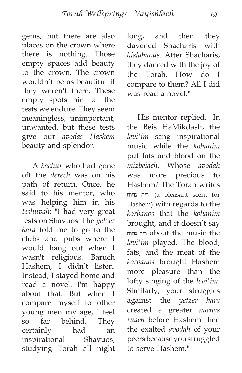gems, but there are also places on the crown where there is nothing. Those empty spaces add beauty to the crown. The crown wouldn't be as beautiful if they weren't there. These empty spots hint at the tests we endure. They seem meaningless, unimportant, unwanted, but these tests give our *avodas Hashem* beauty and splendor.

A *bachur* who had gone off the *derech* was on his path of return. Once, he said to his mentor, who was helping him in his *teshuvah*: "I had very great tests on Shavuos. The *yetzer hara* told me to go to the clubs and pubs where I would hang out when I wasn't religious. Baruch Hashem, I didn't listen. Instead, I stayed home and read a novel. I'm happy about that. But when I compare myself to other young men my age, I feel so far behind. They certainly had an inspirational Shavuos, studying Torah all night long, and then they davened Shacharis with *hislahavus*. After Shacharis, they danced with the joy of the Torah. How do I compare to them? All I did was read a novel."

His mentor replied, "In the Beis HaMikdash, the *levi'im* sang inspirational music while the *kohanim* put fats and blood on the *mizbeiach*. Whose *avodah* was more precious to Hashem? The Torah writes נחוח ריח) a pleasant scent for Hashem) with regards to the *korbanos* that the *kohanim* brought, and it doesn't say נחוח ריח about the music the *levi'im* played. The blood, fats, and the meat of the *korbanos* brought Hashem more pleasure than the lofty singing of the *levi'im*. Similarly, your struggles against the *yetzer hara* created a greater *nachas ruach* before Hashem then the exalted *avodah* of your peers because you struggled to serve Hashem."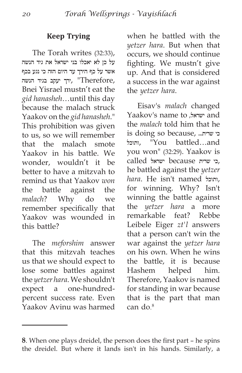#### **Keep Trying**

The Torah writes (32:33), על כן לא יאכלו בני ישראל את גיד הנשה אשר על כף הירך עד היום הזה כי נגע בכף ,Therefore ",ירך יעקב בגיד הנשה Bnei Yisrael mustn't eat the *gid hanasheh*…until this day because the malach struck Yaakov on the *gid hanasheh*." This prohibition was given to us, so we will remember that the malach smote Yaakov in his battle. We wonder, wouldn't it be better to have a mitzvah to remind us that Yaakov *won* the battle against the *malach*? Why do we remember specifically that Yaakov was wounded in this battle?

The *meforshim* answer that this mitzvah teaches us that we should expect to lose some battles against the *yetzer hara*. We shouldn't expect a one-hundredpercent success rate. Even Yaakov Avinu was harmed when he battled with the *yetzer hara*. But when that occurs, we should continue fighting. We mustn't give up. And that is considered a success in the war against the *yetzer hara*.

Eisav's *malach* changed Yaakov's name to ,ישראל and the *malach* told him that he is doing so because, ....שרית... ותוכל," You battled…and you won" (32:29). Yaakov is ,כי שרית because ישראל called he battled against the *yetzer hara*. He isn't named ותוכל, for winning. Why? Isn't winning the battle against the *yetzer hara* a more remarkable feat? Rebbe Leibele Eiger *zt'l* answers that a person can't win the war against the *yetzer hara* on his own. When he wins the battle, it is because Hashem helped him. Therefore, Yaakov is named for standing in war because that is the part that man can do $8$ 

**<sup>8</sup>**. When one plays dreidel, the person does the first part – he spins the dreidel. But where it lands isn't in his hands. Similarly, a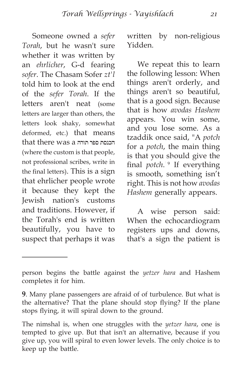Someone owned a *sefer Torah*, but he wasn't sure whether it was written by an *ehrlicher*, G-d fearing *sofer*. The Chasam Sofer *zt'l* told him to look at the end of the *sefer Torah*. If the letters aren't neat (some letters are larger than others, the letters look shaky, somewhat deformed, etc.) that means that there was a תורה ספר הכנסת (where the custom is that people, not professional scribes, write in the final letters). This is a sign that ehrlicher people wrote it because they kept the Jewish nation's customs and traditions. However, if the Torah's end is written beautifully, you have to suspect that perhaps it was written by non-religious Yidden.

We repeat this to learn the following lesson: When things aren't orderly, and things aren't so beautiful, that is a good sign. Because that is how *avodas Hashem* appears. You win some, and you lose some. As a tzaddik once said, "A *potch* for a *potch*, the main thing is that you should give the final *potch*."9 If everything is smooth, something isn't right. This is not how *avodas Hashem* generally appears.

A wise person said: When the echocardiogram registers ups and downs, that's a sign the patient is

person begins the battle against the *yetzer hara* and Hashem completes it for him.

**<sup>9</sup>**. Many plane passengers are afraid of of turbulence. But what is the alternative? That the plane should stop flying? If the plane stops flying, it will spiral down to the ground.

The nimshal is, when one struggles with the *yetzer hara*, one is tempted to give up. But that isn't an alternative, because if you give up, you will spiral to even lower levels. The only choice is to keep up the battle.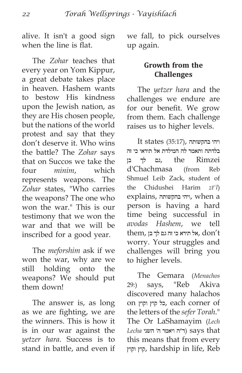alive. It isn't a good sign when the line is flat.

The *Zohar* teaches that every year on Yom Kippur, a great debate takes place in heaven. Hashem wants to bestow His kindness upon the Jewish nation, as they are His chosen people, but the nations of the world protest and say that they don't deserve it. Who wins the battle? The *Zohar* says that on Succos we take the four *minim*, which represents weapons. The *Zohar* states, "Who carries the weapons? The one who won the war." This is our testimony that we won the war and that we will be inscribed for a good year.

The *meforshim* ask if we won the war, why are we still holding onto the weapons? We should put them down!

The answer is, as long as we are fighting, we are the winners. This is how it is in our war against the *yetzer hara*. Success is to stand in battle, and even if we fall, to pick ourselves up again.

#### **Growth from the Challenges**

The *yetzer hara* and the challenges we endure are for our benefit. We grow from them. Each challenge raises us to higher levels.

 $It states (35:17)$ , ויהי בהקשותה בלדתה ותאמר לה המילדת אל תיראי כי זה גם לך בן, the Rimzei d'Chachmasa (from Reb Shmuel Leib Zack, student of the Chidushei Harim *zt'l*) explains, בהקשותה ויהי, when a person is having a hard time being successful in *avodas Hashem*, we tell  $t$ them, אל תירא כי זה גם לך בן, don't worry. Your struggles and challenges will bring you to higher levels.

The Gemara (*Menachos* 29:) says, "Reb Akiva discovered many halachos on וקוץ קוץ כל, each corner of the letters of the *sefer Torah*." The Or LaShamayim (*Lech*  that says) ד״ה ויאמר ה׳ השני *Lecha* this means that from every וקוץ קוץ, hardship in life, Reb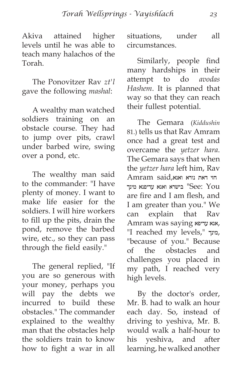Akiva attained higher levels until he was able to teach many halachos of the Torah.

The Ponovitzer Rav *zt'l* gave the following *mashal*:

A wealthy man watched soldiers training on an obstacle course. They had to jump over pits, crawl under barbed wire, swing over a pond, etc.

The wealthy man said to the commander: "I have plenty of money. I want to make life easier for the soldiers. I will hire workers to fill up the pits, drain the pond, remove the barbed wire, etc., so they can pass through the field easily."

The general replied, "If you are so generous with your money, perhaps you will pay the debts we incurred to build these obstacles." The commander explained to the wealthy man that the obstacles help the soldiers train to know how to fight a war in all situations, under all circumstances.

Similarly, people find many hardships in their attempt to do *avodas Hashem*. It is planned that way so that they can reach their fullest potential.

The Gemara (*Kiddushin* 81.) tells us that Rav Amram once had a great test and overcame the *yetzer hara*. The Gemara says that when the *yetzer hara* left him, Rav חזי דאת נורא ואנא,said Amram ר ישרא ואנא עדיפנא מינך "See: You are fire and I am flesh, and I am greater than you." We can explain that Rav Amram was saying עדיפא אנא, "I reached my levels," מינך, "because of you." Because of the obstacles and challenges you placed in my path, I reached very high levels.

By the doctor's order, Mr. B. had to walk an hour each day. So, instead of driving to yeshiva, Mr. B. would walk a half-hour to his yeshiva, and after learning, he walked another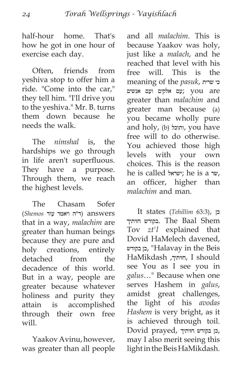half-hour home. That's how he got in one hour of exercise each day.

Often, friends from yeshiva stop to offer him a ride. "Come into the car," they tell him. "I'll drive you to the yeshiva." Mr. B. turns them down because he needs the walk.

The *nimshal* is, the hardships we go through in life aren't superfluous. They have a purpose. Through them, we reach the highest levels.

The Chasam Sofer answers) ד״ה ויאמר עוד *Shemos*( that in a way, *malachim* are greater than human beings because they are pure and holy creations, entirely detached from the decadence of this world. But in a way, people are greater because whatever holiness and purity they attain is accomplished through their own free will.

Yaakov Avinu, however, was greater than all people and all *malachim*. This is because Yaakov was holy, just like a *malach*, and he reached that level with his free will. This is the meaning of the *pasuk*, שרית כי are you; עם אלקים ועם אנשים greater than *malachim* and greater man because (a) you became wholly pure and holy, (b) ותוכל, you have free will to do otherwise. You achieved those high levels with your own choices. This is the reason he is called 'ישראל; he is a שר, an officer, higher than *malachim* and man.

It states (*Tehillim* 63:3), כן חזיתיך בקודש. The Baal Shem Tov *zt'l* explained that Dovid HaMelech davened, בקודש כן," Halavay in the Beis HaMikdash ,חזיתיך, I should see You as I see you in *galus*…" Because when one serves Hashem in *galus*, amidst great challenges, the light of his *avodas Hashem* is very bright, as it is achieved through toil. Dovid prayed, כן בקודש חזיתיך, may I also merit seeing this light in the Beis HaMikdash.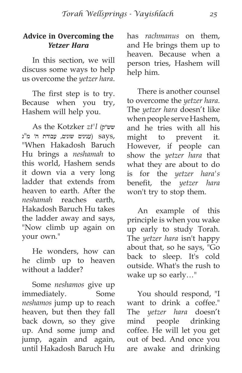#### **Advice in Overcoming the**  *Yetzer Hara*

In this section, we will discuss some ways to help us overcome the *yetzer hara*.

The first step is to try. Because when you try, Hashem will help you.

As the Kotzker *zt'l* (שש״ק ,says) ענינים שונים, עבודת ה׳ מ"ג "When Hakadosh Baruch Hu brings a *neshamah* to this world, Hashem sends it down via a very long ladder that extends from heaven to earth. After the *neshamah* reaches earth, Hakadosh Baruch Hu takes the ladder away and says, "Now climb up again on your own."

He wonders, how can he climb up to heaven without a ladder?

Some *neshamos* give up immediately. Some *neshamos* jump up to reach heaven, but then they fall back down, so they give up. And some jump and jump, again and again, until Hakadosh Baruch Hu has *rachmanus* on them, and He brings them up to heaven. Because when a person tries, Hashem will help him.

There is another counsel to overcome the *yetzer hara*. The *yetzer hara* doesn't like when people serve Hashem, and he tries with all his might to prevent it. However, if people can show the *yetzer hara* that what they are about to do is for the *yetzer hara's* benefit, the *yetzer hara* won't try to stop them.

An example of this principle is when you wake up early to study Torah. The *yetzer hara* isn't happy about that, so he says, "Go back to sleep. It's cold outside. What's the rush to wake up so early…"

You should respond, "I want to drink a coffee." The *yetzer hara* doesn't mind people drinking coffee. He will let you get out of bed. And once you are awake and drinking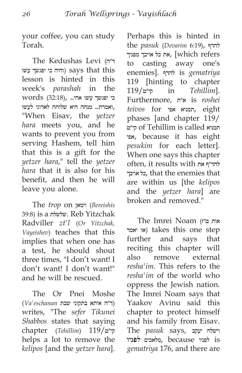your coffee, you can study Torah.

The Kedushas Levi (ד״ה והיה כי יפגשך עשו<br/>) says that this lesson is hinted in this week's *parashah* in the כי יפגשך עשו אחי... ,(32:18) words ,ואמרת... מנחה היא שלוחה לאדוני לעשו "When Eisav, the *yetzer hara* meets you, and he wants to prevent you from serving Hashem, tell him that this is a gift for the *yetzer hara*," tell the *yetzer hara* that it is also for his benefit, and then he will leave you alone.

The *trop* on וימאן) *Bereishis* 39:8) is a שלשלת. Reb Yitzchak Radviller *zt'l* (*Or Yitzchak, Vayeishev*) teaches that this implies that when one has a test, he should shout three times, "I don't want! I don't want! I don't want!" and he will be rescued.

The Or Pnei Moshe (ד״ה איתא בתקוני שבת *eschanan'Va*( writes, "The *sefer Tikunei Shabbos* states that saying chapter (*Tehillim*) 119/קי״ט helps a lot to remove the *kelipos* [and the *yetzer hara*]. Perhaps this is hinted in the *pasuk* (*Devarim* 6:19), להדף את כל אויבך מפניך, [which refers to casting away one's enemies]. להדף is *gematriya* 119 [hinting to chapter 119/קי״ט in *Tehillim*]. Furthermore, א״ת is *roshei teivos* for אפי תמניא, eight phases [and chapter 119/ קי״ט of Tehillim is called תמניא אפי, because it has eight *pesukim* for each letter]. When one says this chapter often, it results with את להד״ף אויבך כל, that the enemies that are within us [the *kelipos* and the *yetzer hara*] are broken and removed."

The Imrei Noam (ט״ז אות יאמר או (takes this one step further and says that reciting this chapter will also remove external *resha'im*. This refers to the *resha'im* of the world who oppress the Jewish nation. The Imrei Noam says that Yaakov Avinu said this chapter to protect himself and his family from Eisav. The *pasuk* says, יעקב וישלח is לפניו because ,מלאכים **לפניו** *gematriya* 176, and there are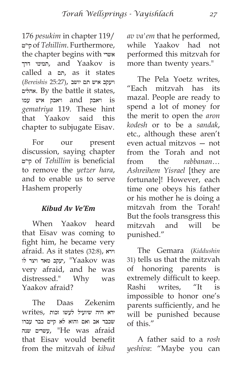176 *pesukim* in chapter 119/ קי״ט of *Tehillim*. Furthermore, the chapter begins with אשרי דרך תמימי, and Yaakov is called a תם, as it states ויעקב איש תם יושב ,(25:27 *Bereishis*( אהלים. By the battle it states, is ויאבק and ויאבק איש עמו *gematriya* 119. These hint that Yaakov said this chapter to subjugate Eisav.

For our present discussion, saying chapter קי״ט of *Tehillim* is beneficial to remove the *yetzer hara*, and to enable us to serve Hashem properly

#### *Kibud Av Ve'Em*

When Yaakov heard that Eisav was coming to fight him, he became very afraid. As it states (32:8), וירא שקב מאד ויצר לו<br/> "Yaakov was very afraid, and he was distressed." Why was Yaakov afraid?

The Daas Zekenim ירא היה שיועיל לעשו זכות ,writes שכבד אב ואם והוא לא קיים כבר עברו שנה עשרים," He was afraid that Eisav would benefit from the mitzvah of *kibud*  *av va'em* that he performed, while Yaakov had not performed this mitzvah for more than twenty years."

The Pela Yoetz writes, "Each mitzvah has its mazal. People are ready to spend a lot of money for the merit to open the *aron kodesh* or to be a *sandak*, etc., although these aren't even actual mitzvos — not from the Torah and not from the *rabbanan*… *Ashreihem Yisrael* [they are fortunate]! However, each time one obeys his father or his mother he is doing a mitzvah from the Torah! But the fools transgress this mitzvah and will be punished."

The Gemara (*Kiddushin* 31) tells us that the mitzvah of honoring parents is extremely difficult to keep.<br>Rashi writes. "It is Rashi writes, "It is impossible to honor one's parents sufficiently, and he will be punished because of this."

A father said to a *rosh yeshiva*: "Maybe you can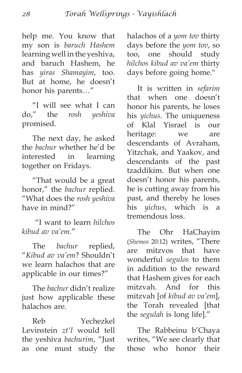help me. You know that my son is *baruch Hashem* learning well in the yeshiva, and baruch Hashem, he has *yiras Shamayim*, too. But at home, he doesn't honor his parents…"

"I will see what I can do," the *rosh yeshiva* promised.

The next day, he asked the *bachur* whether he'd be interested in learning together on Fridays.

"That would be a great honor," the *bachur* replied. "What does the *rosh yeshiva* have in mind?"

 "I want to learn *hilchos kibud av va'em*."

The *bachur* replied, "*Kibud av va'em*? Shouldn't we learn halachos that are applicable in our times?"

The *bachur* didn't realize just how applicable these halachos are.

Reb Yechezkel Levinstein *zt'l* would tell the yeshiva *bachurim*, "Just as one must study the halachos of a *yom tov* thirty days before the *yom tov*, so too, one should study *hilchos kibud av va'em* thirty days before going home."

It is written in *sefarim* that when one doesn't honor his parents, he loses his *yichus*. The uniqueness of Klal Yisrael is our heritage: we are descendants of Avraham, Yitzchak, and Yaakov, and descendants of the past tzaddikim. But when one doesn't honor his parents, he is cutting away from his past, and thereby he loses his *yichus*, which is a tremendous loss.

The Ohr HaChayim (*Shemos* 20:12) writes, "There are mitzvos that have wonderful *segulos* to them in addition to the reward that Hashem gives for each mitzvah. And for this mitzvah [of *kibud av va'em*], the Torah revealed [that the *segulah* is long life]."

The Rabbeinu b'Chaya writes, "We see clearly that those who honor their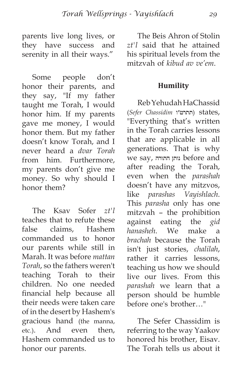parents live long lives, or they have success and serenity in all their ways."

Some people don't honor their parents, and they say, "If my father taught me Torah, I would honor him. If my parents gave me money, I would honor them. But my father doesn't know Torah, and I never heard a *dvar Torah* from him. Furthermore, my parents don't give me money. So why should I honor them?

The Ksav Sofer *zt'l* teaches that to refute these false claims, Hashem commanded us to honor our parents while still in Marah. It was before *mattan Torah*, so the fathers weren't teaching Torah to their children. No one needed financial help because all their needs were taken care of in the desert by Hashem's gracious hand (the manna, etc.). And even then, Hashem commanded us to honor our parents.

The Beis Ahron of Stolin *zt'l* said that he attained his spiritual levels from the mitzvah of *kibud av ve'em*.

#### **Humility**

Reb Yehudah HaChassid (*Sefer Chassidim* תתרט״ו (states, "Everything that's written in the Torah carries lessons that are applicable in all generations. That is why we say, התורה נותן before and after reading the Torah, even when the *parashah* doesn't have any mitzvos, like *parashas Vayishlach*. This *parasha* only has one mitzvah – the prohibition against eating the *gid hanasheh*. We make a *brachah* because the Torah isn't just stories, *chalilah*, rather it carries lessons, teaching us how we should live our lives. From this *parashah* we learn that a person should be humble before one's brother…"

The Sefer Chassidim is referring to the way Yaakov honored his brother, Eisav. The Torah tells us about it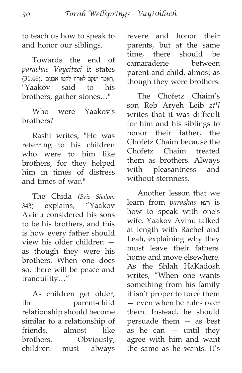to teach us how to speak to and honor our siblings.

Towards the end of *parashas Vayeitzei* it states ,ויאמר יעקב לאחיו לקטו אבנים ,(31:46) "Yaakov said to his brothers, gather stones…"

Who were Yaakov's brothers?

Rashi writes, "He was referring to his children who were to him like brothers, for they helped him in times of distress and times of war."

The Chida (*Bris Shalom* 343) explains, "Yaakov Avinu considered his sons to be his brothers, and this is how every father should view his older children as though they were his brothers. When one does so, there will be peace and tranquility…"

As children get older, the parent-child relationship should become similar to a relationship of friends, almost like brothers. Obviously, children must always revere and honor their parents, but at the same time, there should be camaraderie between parent and child, almost as though they were brothers.

The Chofetz Chaim's son Reb Aryeh Leib *zt'l* writes that it was difficult for him and his siblings to honor their father, the Chofetz Chaim because the Chofetz Chaim treated them as brothers. Always with pleasantness and without sternness.

Another lesson that we learn from *parashas* ויצא is how to speak with one's wife. Yaakov Avinu talked at length with Rachel and Leah, explaining why they must leave their fathers' home and move elsewhere. As the Shlah HaKadosh writes, "When one wants something from his family it isn't proper to force them — even when he rules over them. Instead, he should persuade them — as best as he can  $-$  until they agree with him and want the same as he wants. It's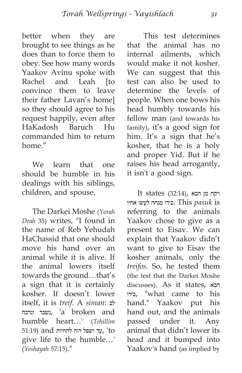better when they are brought to see things as he does than to force them to obey. See how many words Yaakov Avinu spoke with Rachel and Leah [to convince them to leave their father Lavan's home] so they should agree to his request happily, even after HaKadosh Baruch Hu commanded him to return home."

We learn that one should be humble in his dealings with his siblings, children, and spouse.

The Darkei Moshe (*Yorah Deah* 35) writes, "I found in the name of Reb Yehudah HaChassid that one should move his hand over an animal while it is alive. If the animal lowers itself towards the ground…that's a sign that it is certainly kosher. If doesn't lower itself, it is *treif*. A *siman*: לב ונדכה נשבר,' a broken and humble heart…' (*Tehillim* עד ושפל רוח להחיות and) עד ושפל תוח להחיות give life to the humble…' (*Yeshayah* 57:15)."

 This test determines that the animal has no internal ailments, which would make it not kosher. We can suggest that this test can also be used to determine the levels of people. When one bows his head humbly towards his fellow man (and towards his family), it's a good sign for him. It's a sign that he's kosher, that he is a holy and proper Yid. But if he raises his head arrogantly, it isn't a good sign.

 ויקח מן הבא ,(32:14) states It is *pasuk* This .בידו מנחה לעשו אחיו referring to the animals Yaakov chose to give as a present to Eisav. We can explain that Yaakov didn't want to give to Eisav the kosher animals, only the *treifos*. So, he tested them (the test that the Darkei Moshe discusses). As it states, הבא בידו," what came to his hand." Yaakov put his hand out, and the animals passed under it. Any animal that didn't lower its head and it bumped into Yaakov's hand (as implied by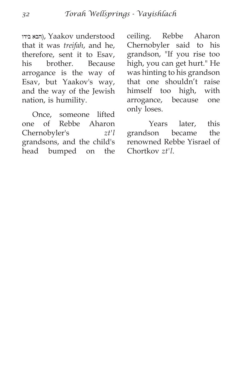הבא בידו), Yaakov understood that it was *treifah*, and he, therefore, sent it to Esav, his brother. Because arrogance is the way of Esav, but Yaakov's way, and the way of the Jewish nation, is humility.

Once, someone lifted one of Rebbe Aharon Chernobyler's *zt'l* grandsons, and the child's head bumped on the ceiling. Rebbe Aharon Chernobyler said to his grandson, "If you rise too high, you can get hurt." He was hinting to his grandson that one shouldn't raise himself too high, with arrogance, because one only loses.

 Years later, this grandson became the renowned Rebbe Yisrael of Chortkov *zt'l*.